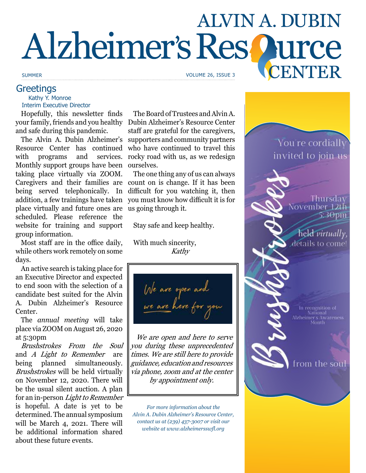# **ALVIN A. DUBIN** Alzheimer's Res Qurce CENTER

# **Greetings**

 Kathy Y. Monroe Interim Executive Director

Hopefully, this newsletter finds and safe during this pandemic.

The Alvin A. Dubin Alzheimer's Resource Center has continued with programs and services. Monthly support groups have been ourselves. taking place virtually via ZOOM. being served telephonically. In addition, a few trainings have taken place virtually and future ones are scheduled. Please reference the website for training and support group information.

Most staff are in the office daily, while others work remotely on some days.

An active search is taking place for an Executive Director and expected to end soon with the selection of a candidate best suited for the Alvin A. Dubin Alzheimer's Resource Center.

The *annual meeting* will take place via ZOOM on August 26, 2020 at 5:30pm

Brushstrokes From the Soul and A Light to Remember are being planned simultaneously. Brushstrokes will be held virtually on November 12, 2020. There will be the usual silent auction. A plan for an in-person Light to Remember is hopeful. A date is yet to be determined. The annual symposium will be March 4, 2021. There will be additional information shared about these future events.

your family, friends and you healthy Dubin Alzheimer's Resource Center The Board of Trustees and Alvin A. staff are grateful for the caregivers, supporters and community partners who have continued to travel this rocky road with us, as we redesign

Caregivers and their families are count on is change. If it has been The one thing any of us can always difficult for you watching it, then you must know how difficult it is for us going through it.

Stay safe and keep healthy.

With much sincerity, Kathy

We are open as

We are open and here to serve you during these unprecedented times. We are still here to provide guidance, education and resources via phone, zoom and at the center by appointment only.

*For more information about the Alvin A. Dubin Alzheimer's Resource Center, contact us at (239) 437-3007 or visit our website at www.alzheimersswfl.org*



SUMMER VOLUME 26, ISSUE 3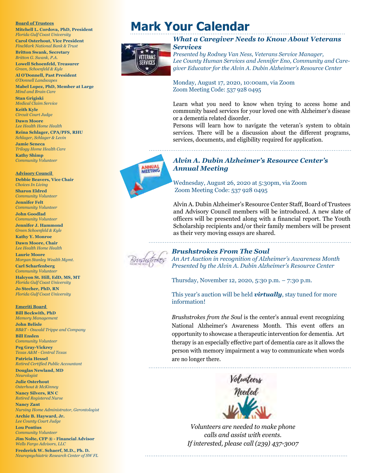#### **Board of Trustees**

**Mitchell L. Cordova, PhD, President**  *Florida Gulf Coast University*  **Carol Osterhout, Vice President**  *FineMark National Bank & Trust*

**Britton Swank, Secretary**  *Britton G. Swank, P.A.* 

**Lowell Schoenfeld, Treasurer**  *Green, Schoenfeld & Kyle* 

**Al O'Donnell, Past President**  *O'Donnell Landscapes*

**Mabel Lopez, PhD, Member at Large**  *Mind and Brain Care*

**Stan Grigiski**  *Medical Claim Service*  **Keith Kyle**  *Circuit Court Judge*

**Dawn Moore**  *Lee Health Home Health*

**Reina Schlager, CPA/PFS, RHU**  *Schlager, Schlager & Levin*

**Jamie Seneca**  *Trilogy Home Health Care* **Kathy Shimp** 

*Community Volunteer*

**Advisory Council** 

**Debbie Beavers, Vice Chair**  *Choices In Living*  **Sharon Eldred**  *Community Volunteer* **Jennifer Felt**  *Community Volunteer* **John Goodlad** 

*Community Volunteer* **Jennifer J. Hammond** 

*Green Schoenfeld & Kyle*  **Kathy Y. Monroe**

**Dawn Moore, Chair**  *Lee Health Home Health*

**Laurie Moore**  *Morgan Stanley Wealth Mgmt.*

**Carl Scharfenberg**  *Community Volunteer* **Halcyon St. Hill, EdD, MS, MT**  *Florida Gulf Coast University*  **Jo Stecher, PhD, RN**  *Florida Gulf Coast University* 

**Emeriti Board** 

**Bill Beckwith, PhD**  *Memory Management*  **John Belisle**  *BB&T - Oswald Trippe and Company*  **Bill Enslen** 

*Community Volunteer*  **Peg Gray-Vickrey**  *Texas A&M - Central Texas* 

**Patricia Hessel**  *Retired Certified Public Accountant*  **Douglas Newland, MD**  *Neurologist* 

**Julie Osterhout**  *Osterhout & McKinney*  **Nancy Silvers, RN C**  *Retired Registered Nurse* 

**Nancy Zant**  *Nursing Home Administrator, Gerontologist* **Archie B. Hayward, Jr.** 

*Lee County Court Judge* **Lou Pontius**  *Community Volunteer*

**Jim Nolte, CFP ® - Financial Advisor**  *Wells Fargo Advisors, LLC*

**Frederick W. Schaerf, M.D., Ph. D.**  *Neuropsychiatric Research Center of SW FL*

# **Mark Your Calendar**



#### *What a Caregiver Needs to Know About Veterans Services*

*Presented by Rodney Van Ness, Veterans Service Manager, Lee County Human Services and Jennifer Eno, Community and Caregiver Educator for the Alvin A. Dubin Alzheimer's Resource Center*

Monday, August 17, 2020, 10:00am, via Zoom Zoom Meeting Code: 537 928 0495

Learn what you need to know when trying to access home and community based services for your loved one with Alzheimer's disease or a dementia related disorder.

Persons will learn how to navigate the veteran's system to obtain services. There will be a discussion about the different programs, services, documents, and eligibility required for application.



# *Alvin A. Dubin Alzheimer's Resource Center's*

Wednesday, August 26, 2020 at 5:30pm, via Zoom Zoom Meeting Code: 537 928 0495

Alvin A. Dubin Alzheimer's Resource Center Staff, Board of Trustees and Advisory Council members will be introduced. A new slate of officers will be presented along with a financial report. The Youth Scholarship recipients and/or their family members will be present as their very moving essays are shared.



#### *Brushstrokes From The Soul*

*An Art Auction in recognition of Alzheimer's Awareness Month Presented by the Alvin A. Dubin Alzheimer's Resource Center*

Thursday, November 12, 2020, 5:30 p.m. – 7:30 p.m.

This year's auction will be held *virtually*, stay tuned for more information!

*Brushstrokes from the Soul* is the center's annual event recognizing National Alzheimer's Awareness Month. This event offers an opportunity to showcase a therapeutic intervention for dementia. Art therapy is an especially effective part of dementia care as it allows the person with memory impairment a way to communicate when words are no longer there.



*Volunteers are needed to make phone calls and assist with events. If interested, please call (239) 437-3007*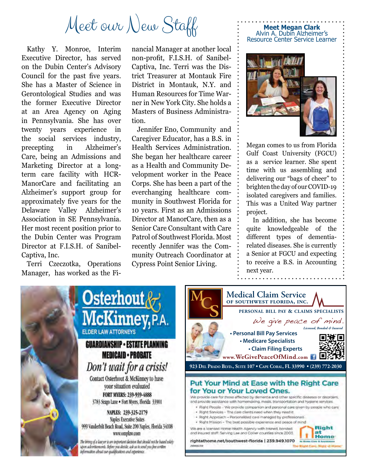# Meet our New Staff

Kathy Y. Monroe, Interim Executive Director, has served on the Dubin Center's Advisory Council for the past five years. She has a Master of Science in Gerontological Studies and was the former Executive Director at an Area Agency on Aging in Pennsylvania. She has over twenty years experience in the social services industry, precepting in Alzheimer's Care, being an Admissions and Marketing Director at a longterm care facility with HCR-ManorCare and facilitating an Alzheimer's support group for approximately five years for the Delaware Valley Alzheimer's Association in SE Pennsylvania. Her most recent position prior to the Dubin Center was Program Director at F.I.S.H. of Sanibel-Captiva, Inc.

Terri Czeczotka, Operations Manager, has worked as the Financial Manager at another local non-profit, F.I.S.H. of Sanibel-Captiva, Inc. Terri was the District Treasurer at Montauk Fire District in Montauk, N.Y. and Human Resources for Time Warner in New York City. She holds a Masters of Business Administration.

Jennifer Eno, Community and Caregiver Educator, has a B.S. in Health Services Administration. She began her healthcare career as a Health and Community Development worker in the Peace Corps. She has been a part of the everchanging healthcare community in Southwest Florida for 10 years. First as an Admissions Director at ManorCare, then as a Senior Care Consultant with Care Patrol of Southwest Florida. Most recently Jennifer was the Community Outreach Coordinator at Cypress Point Senior Living.



**Meet Megan Clark** Alvin A. Dubin Alzheimer's Resource Center Service Learner

Megan comes to us from Florida Gulf Coast University (FGCU) as a service learner. She spent time with us assembling and delivering our "bags of cheer" to brighten the day of our COVID-19 isolated caregivers and families. This was a United Way partner project.

 In addition, she has become quite knowledgeable of the different types of dementiarelated diseases. She is currently a Senior at FGCU and expecting to receive a B.S. in Accounting next year.



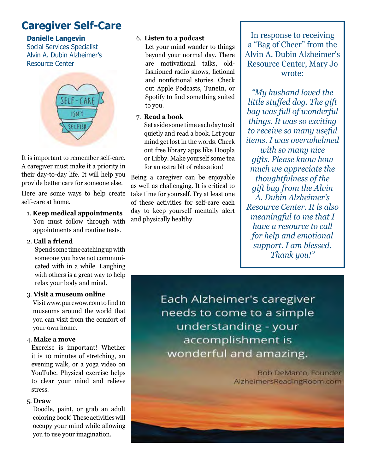# **Caregiver Self-Care**

# **Danielle Langevin**

Social Services Specialist Alvin A. Dubin Alzheimer's Resource Center



It is important to remember self-care. A caregiver must make it a priority in their day-to-day life. It will help you provide better care for someone else.

Here are some ways to help create self-care at home.

## 1. **Keep medical appointments**

You must follow through with appointments and routine tests.

## 2. **Call a friend**

Spend some time catching up with someone you have not communicated with in a while. Laughing with others is a great way to help relax your body and mind.

## 3. **Visit a museum online**

 Visit www.purewow.com to find 10 museums around the world that you can visit from the comfort of your own home.

## 4. **Make a move**

 Exercise is important! Whether it is 10 minutes of stretching, an evening walk, or a yoga video on YouTube. Physical exercise helps to clear your mind and relieve stress.

## 5. **Draw**

 Doodle, paint, or grab an adult coloring book! These activities will occupy your mind while allowing you to use your imagination.

## 6. **Listen to a podcast**

 Let your mind wander to things beyond your normal day. There are motivational talks, oldfashioned radio shows, fictional and nonfictional stories. Check out Apple Podcasts, TuneIn, or Spotify to find something suited to you.

## 7. **Read a book**

Set aside some time each day to sit quietly and read a book. Let your mind get lost in the words. Check out free library apps like Hoopla or Libby. Make yourself some tea for an extra bit of relaxation!

Being a caregiver can be enjoyable as well as challenging. It is critical to take time for yourself. Try at least one of these activities for self-care each day to keep yourself mentally alert and physically healthy.

In response to receiving a "Bag of Cheer" from the Alvin A. Dubin Alzheimer's Resource Center, Mary Jo wrote:

*"My husband loved the little stuffed dog. The gift bag was full of wonderful things. It was so exciting to receive so many useful items. I was overwhelmed* 

*with so many nice gifts. Please know how much we appreciate the thoughtfulness of the gift bag from the Alvin A. Dubin Alzheimer's Resource Center. It is also meaningful to me that I have a resource to call for help and emotional support. I am blessed. Thank you!"* 

Each Alzheimer's caregiver needs to come to a simple understanding - your accomplishment is wonderful and amazing.

> **Bob DeMarco, Founder** AlzheimersReadingRoom.com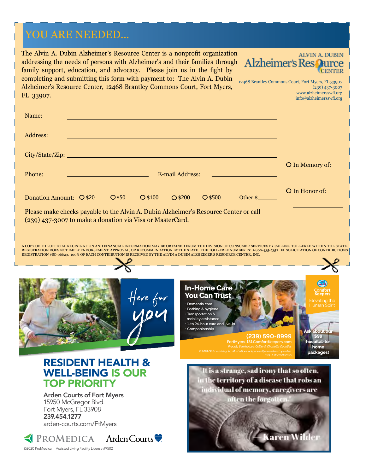# YOU ARE NEEDED...

The Alvin A. Dubin Alzheimer's Resource Center is a nonprofit organization **ALVIN A. DUBIN Alzheimer's Res Qurce** addressing the needs of persons with Alzheimer's and their families through family support, education, and advocacy. Please join us in the fight by completing and submitting this form with payment to: The Alvin A. Dubin 12468 Brantley Commons Court, Fort Myers, FL 33907 Alzheimer's Resource Center, 12468 Brantley Commons Court, Fort Myers, (239) 437-3007 www.alzheimersswfl.org FL 33907. info@alzheimersswfl.org Name: Address: City/State/Zip: O In Memory of: Phone: E-mail Address: O In Honor of: Donation Amount:  $Q $20$   $Q $50$   $Q $100$   $Q $200$   $Q $500$   $Other $$ Please make checks payable to the Alvin A. Dubin Alzheimer's Resource Center or call (239) 437-3007 to make a donation via Visa or MasterCard. A COPY OF THE OFFICIAL REGISTRATION AND FINANCIAL INFORMATION MAY BE OBTAINED FROM THE DIVISION OF CONSUMER SERVICES BY CALLING TOLL-FREE WITHIN THE STATE. REGISTRATION DOES NOT IMPLY ENDORSEMENT, APPROVAL, OR RECOMMENDATION BY THE STATE. THE TOLL-FREE NUMBER IS: 1-800-435-7352. FL SOLICITATION OF CONTRIBUTIONS<br>REGISTRATION #SC-06629. 100% OF EACH CONTRIBUTION IS RECEIVED **In-Home Care**  Here for **You Can Trust • Dementia care • Bathing & hygiene • Transportation & mobility assistance • 1-to 24-hour care and live-in • Companionship Ask about our (239) 590-8999 \$99 hospital-tohome packages!**

RESIDENT HEALTH & WELL-BEING IS OUR TOP PRIORITY

Arden Courts of Fort Myers 15950 McGregor Blvd. Fort Myers, FL 33908 239.454.1277 arden-courts.com/FtMyers

K PROMEDICA | Arden Courts ©2020 ProMedica Assisted Living Facility License #9502

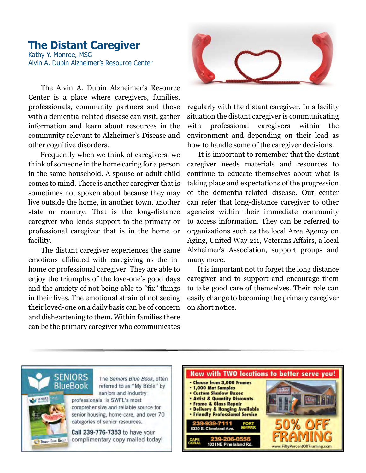# **The Distant Caregiver** Kathy Y. Monroe, MSG Alvin A. Dubin Alzheimer's Resource Center

 The Alvin A. Dubin Alzheimer's Resource Center is a place where caregivers, families, professionals, community partners and those with a dementia-related disease can visit, gather information and learn about resources in the community relevant to Alzheimer's Disease and other cognitive disorders.

 Frequently when we think of caregivers, we think of someone in the home caring for a person in the same household. A spouse or adult child comes to mind. There is another caregiver that is sometimes not spoken about because they may live outside the home, in another town, another state or country. That is the long-distance caregiver who lends support to the primary or professional caregiver that is in the home or facility.

 The distant caregiver experiences the same emotions affiliated with caregiving as the inhome or professional caregiver. They are able to enjoy the triumphs of the love-one's good days and the anxiety of not being able to "fix" things in their lives. The emotional strain of not seeing their loved-one on a daily basis can be of concern and disheartening to them. Within families there can be the primary caregiver who communicates



regularly with the distant caregiver. In a facility situation the distant caregiver is communicating with professional caregivers within the environment and depending on their lead as how to handle some of the caregiver decisions.

 It is important to remember that the distant caregiver needs materials and resources to continue to educate themselves about what is taking place and expectations of the progression of the dementia-related disease. Our center can refer that long-distance caregiver to other agencies within their immediate community to access information. They can be referred to organizations such as the local Area Agency on Aging, United Way 211, Veterans Affairs, a local Alzheimer's Association, support groups and many more.

 It is important not to forget the long distance caregiver and to support and encourage them to take good care of themselves. Their role can easily change to becoming the primary caregiver on short notice.



SENIORS

**BlueBook** 

The Seniors Blue Book, often referred to as "My Bible" by seniors and industry

professionals, is SWFL's most comprehensive and reliable source for senior housing, home care, and over 70 categories of senior resources.

Call 239-776-7353 to have your complimentary copy mailed today!

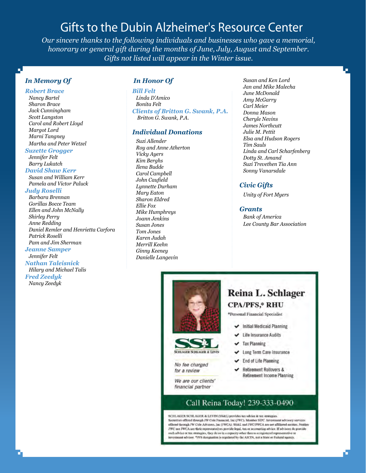# Gifts to the Dubin Alzheimer's Resource Center

*Our sincere thanks to the following individuals and businesses who gave a memorial, honorary or general gift during the months of June, July, August and September. Gifts not listed will appear in the Winter issue.*

# *In Memory Of*

# *Robert Brace*

 *Nancy Bartel Sharon Brace Jack Cunningham Scott Langston Carol and Robert Lloyd Margot Lord Marni Tangney Martha and Peter Wetzel* 

#### *Suzette Grogger*

 *Jennifer Felt Barry Lukatch*

#### *David Shaw Kerr*

 *Susan and William Kerr Pamela and Victor Paluck*

#### *Judy Roselli*

 *Barbara Brennan Gorillas Bocce Team Ellen and John McNally Shirley Perry Anne Redding Daniel Remler and Henrietta Carfora Patrick Roselli Pam and Jim Sherman*

# *Jeanne Samper*

 *Jennifer Felt Nathan Taleisnick Hilary and Michael Talis Fred Zeedyk Nancy Zeedyk* 

#### *In Honor Of*

#### *Bill Felt*

 *Linda D'Amico Bonita Felt Clients of Britton G. Swank, P.A. Britton G. Swank, P.A.*

#### *Individual Donations*

 *Suzi Allender Roy and Anne Atherton Vicky Ayers Kim Berghs Ilena Budde Carol Campbell John Caufield Lynnette Durham Mary Eaton Sharon Eldred Ellie Fox Mike Humphreys Joann Jenkins Susan Jones Tom Jones Karen Judah Merrill Keehn Ginny Keeney Danielle Langevin*

 *Susan and Ken Lord Jan and Mike Malecha June McDonald Amy McGarry Carl Meier Donna Mason Cheryle Nevins James Northcutt Julie M. Pettit Elsa and Hudson Rogers Tim Sauls Linda and Carl Scharfenberg Dotty St. Amand Suzi Trevethen Tia Ann Sonny Vanarsdale*

#### *Civic Gifts*

 *Unity of Fort Myers*

#### *Grants*

 *Bank of America Lee County Bar Association*





No fee charged for a review

We are our clients' financial partner

# Reina L. Schlager **CPA/PFS,\* RHU**

\*Personal Financial Specialist

- Initial Medicaid Planning
- Life Insurance Audits
- $\blacktriangleright$  Tax Planning
- Long Term Care Insurance
- End of Life Planning
- **Retirement Rollovers &** ◡ **Retirement Income Planning**

## Call Reina Today! 239-333-0490

SCHLAGER SCHLAGER & LEVIN (SS&L) provides tax advice & tax strategies Securities offered through JW Cole Financial, Inc (JWC), Member SIPC. Investment advisory services<br>offered through JW Cole Advisors, Inc (JWCA). SS&L and JWC/JWCA are not affiliated entities. Neither JWC not JWCA nor their representatives provide legal, tax or accounting advice. If advisors do provide such advice or tax strategies, they do so in a expectly other than us a registered representative or<br>investment advisor. \*PFS designation is regulated by the AICPA, not a State or Federal agency.